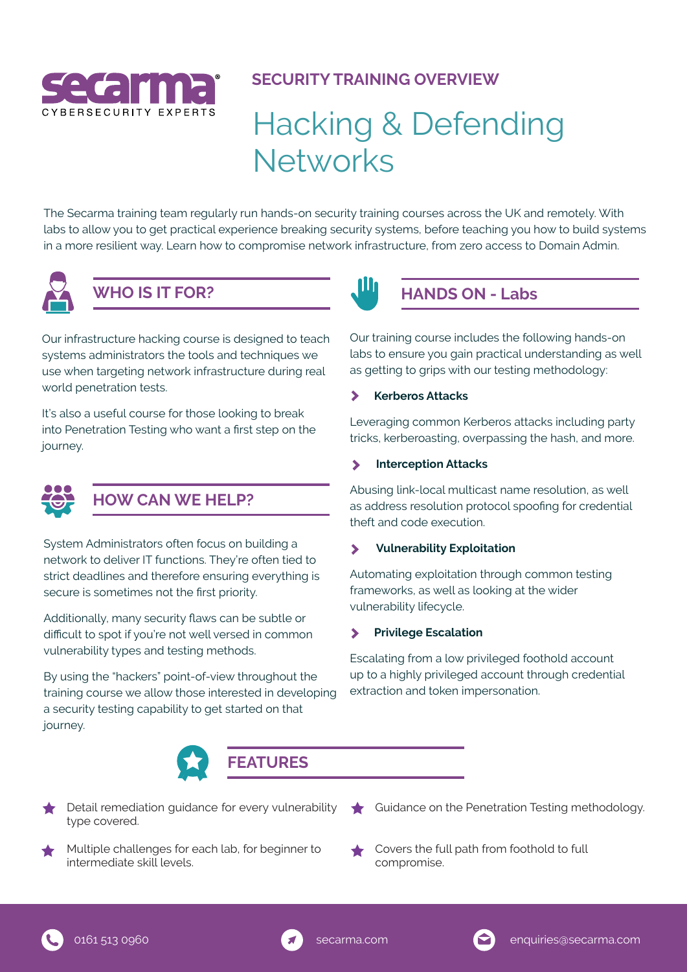

## **SECURITY TRAINING OVERVIEW**

# Hacking & Defending **Networks**

The Secarma training team regularly run hands-on security training courses across the UK and remotely. With labs to allow you to get practical experience breaking security systems, before teaching you how to build systems in a more resilient way. Learn how to compromise network infrastructure, from zero access to Domain Admin.



# **WHO IS IT FOR?**

Our infrastructure hacking course is designed to teach systems administrators the tools and techniques we use when targeting network infrastructure during real world penetration tests.

It's also a useful course for those looking to break into Penetration Testing who want a first step on the journey.



## **HOW CAN WE HELP?**

System Administrators often focus on building a network to deliver IT functions. They're often tied to strict deadlines and therefore ensuring everything is secure is sometimes not the first priority.

Additionally, many security flaws can be subtle or difficult to spot if you're not well versed in common vulnerability types and testing methods.

By using the "hackers" point-of-view throughout the training course we allow those interested in developing a security testing capability to get started on that journey.



- type covered.
- Multiple challenges for each lab, for beginner to intermediate skill levels.
- Detail remediation guidance for every vulnerability  $\qquad \qquad$  Guidance on the Penetration Testing methodology.
	- Covers the full path from foothold to full compromise.



## **HANDS ON - Labs**

Our training course includes the following hands-on labs to ensure you gain practical understanding as well as getting to grips with our testing methodology:

### **Kerberos Attacks**

Leveraging common Kerberos attacks including party tricks, kerberoasting, overpassing the hash, and more.

#### **Interception Attacks**   $\blacktriangleright$

Abusing link-local multicast name resolution, as well as address resolution protocol spoofing for credential theft and code execution.

#### **Vulnerability Exploitation**   $\blacktriangleright$

Automating exploitation through common testing frameworks, as well as looking at the wider vulnerability lifecycle.

#### **Privilege Escalation**  $\blacktriangleright$

Escalating from a low privileged foothold account up to a highly privileged account through credential extraction and token impersonation.